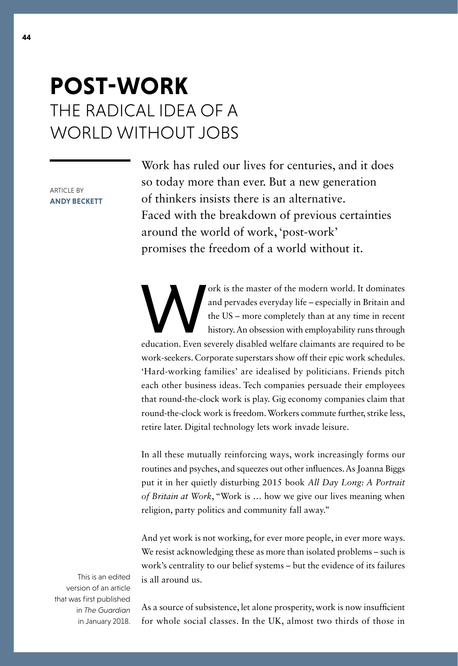# **POST-WORK** THE RADICAL IDEA OF A WORLD WITHOUT JOBS

#### ARTICLE BY **ANDY BECKETT**

Work has ruled our lives for centuries, and it does so today more than ever. But a new generation of thinkers insists there is an alternative. Faced with the breakdown of previous certainties around the world of work, 'post-work' promises the freedom of a world without it.

ork is the master of the modern world. It dominates<br>and pervades everyday life – especially in Britain and<br>the US – more completely than at any time in recent<br>history. An obsession with employability runs through<br>education and pervades everyday life – especially in Britain and the US – more completely than at any time in recent history. An obsession with employability runs through education. Even severely disabled welfare claimants are required to be work-seekers. Corporate superstars show off their epic work schedules. 'Hard-working families' are idealised by politicians. Friends pitch each other business ideas. Tech companies persuade their employees that round-the-clock work is play. Gig economy companies claim that round-the-clock work is freedom. Workers commute further, strike less, retire later. Digital technology lets work invade leisure.

In all these mutually reinforcing ways, work increasingly forms our routines and psyches, and squeezes out other infuences. As Joanna Biggs put it in her quietly disturbing 2015 book *[All Day Long: A Portrait](https://www.theguardian.com/books/2015/mar/27/all-day-long-a-portrait-of-britain-at-work-joanna-biggs-review)  [of Britain at Work](https://www.theguardian.com/books/2015/mar/27/all-day-long-a-portrait-of-britain-at-work-joanna-biggs-review)*, "Work is … how we give our lives meaning when religion, party politics and community fall away."

And yet work is not working, for ever more people, in ever more ways. We resist acknowledging these as more than isolated problems – such is work's centrality to our belief systems – but the evidence of its failures is all around us.

This is an edited version of an article that was first published in *The Guardian* in January 2018.

As a source of subsistence, let alone prosperity, work is now insuffcient for whole social classes. In the UK, [almost two thirds](https://www.theguardian.com/society/2017/may/22/record-britons-in-work-poverty-families-study-private-rented-housing) of those in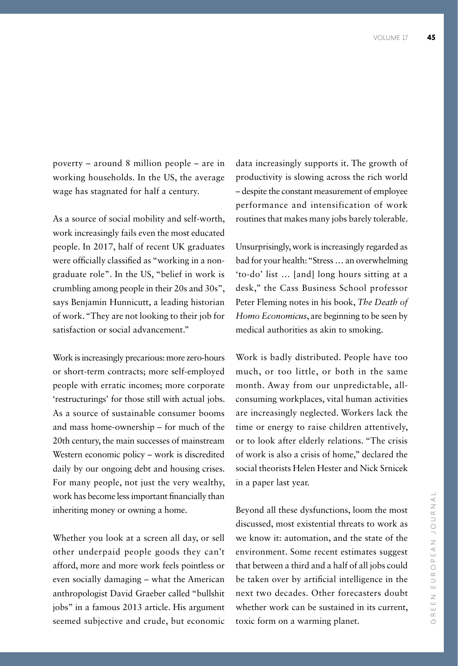poverty – around 8 million people – are in working households. In the US, the average wage has [stagnated for half a century](https://www.brookings.edu/opinions/the-uncomfortable-truth-about-american-wages/).

As a source of social mobility and self-worth, work increasingly fails even the most educated people. In 2017, half of recent UK graduates were officially classified as "working in a nongraduate role". In the US, "belief in work is crumbling among people in their 20s and 30s", says Benjamin Hunnicutt, a leading historian of work. "They are not looking to their job for satisfaction or social advancement."

Work is increasingly precarious: more zero-hours or short-term contracts; more self-employed people with erratic incomes; more corporate 'restructurings' for those still with actual jobs. As a source of sustainable consumer booms and mass home-ownership – for much of the 20th century, the main successes of mainstream Western economic policy – work is discredited daily by our ongoing debt and housing crises. For many people, not just the very wealthy, work has become less important fnancially than inheriting money or owning a home.

Whether you look at a screen all day, or sell other underpaid people goods they can't afford, more and more work feels pointless or even socially damaging – what the American anthropologist David Graeber called "bullshit jobs" in a [famous 2013 article.](https://strikemag.org/bullshit-jobs/) His argument seemed subjective and crude, but economic

data increasingly supports it. The [growth of](https://www.theguardian.com/business/2017/oct/06/uk-productivity-fall-obr-budget)  [productivity](https://www.theguardian.com/business/2017/oct/06/uk-productivity-fall-obr-budget) is slowing across the rich world – despite the constant measurement of employee performance and intensification of work routines that makes many jobs barely tolerable.

Unsurprisingly, work is increasingly regarded as [bad for your health](https://www.theguardian.com/lifeandstyle/2016/jul/27/health-risk-one-hour-activity-offset-eight-hours-sitting-desk): "Stress … an overwhelming 'to-do' list … [and] long hours sitting at a desk," the Cass Business School professor Peter Fleming notes in his book, *[The Death of](https://www.theguardian.com/books/2017/sep/28/death-homo-economicus-peter-fleming-review)  [Homo Economicus](https://www.theguardian.com/books/2017/sep/28/death-homo-economicus-peter-fleming-review)*, are beginning to be seen by medical authorities as akin to smoking.

Work is badly distributed. People have too much, or too little, or both in the same month. Away from our unpredictable, allconsuming workplaces, vital human activities are increasingly neglected. Workers lack the time or energy to raise children attentively, or to look after elderly relations. "The crisis of work is also a crisis of home," declared the social theorists Helen Hester and Nick Srnicek in a paper last year.

Beyond all these dysfunctions, loom the most discussed, most existential threats to work as we know it: automation, and the state of the environment. Some recent estimates suggest that between a third and a half of all jobs could be taken over by artifcial intelligence in the next two decades. Other forecasters doubt whether work can be sustained in its current, toxic form on a warming planet.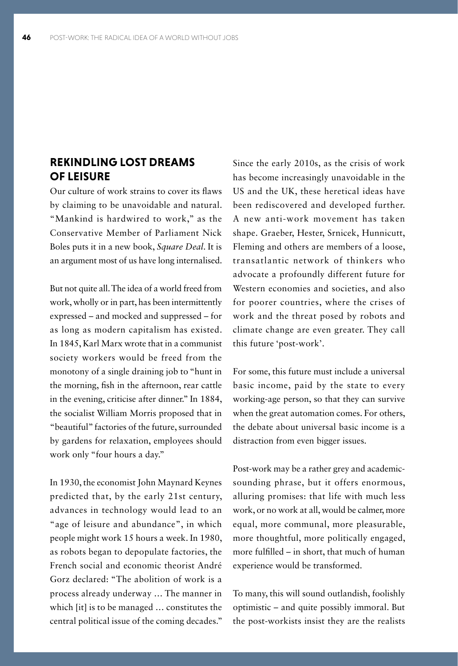### **REKINDLING LOST DREAMS OF LEISURE**

Our culture of work strains to cover its faws by claiming to be unavoidable and natural. "Mankind is hardwired to work," as the Conservative Member of Parliament Nick Boles puts it in a new book, *Square Deal*. It is an argument most of us have long internalised.

But not quite all. The idea of a world freed from work, wholly or in part, has been intermittently expressed – and mocked and suppressed – for as long as modern capitalism has existed. In 1845, Karl Marx wrote that in a communist society workers would be freed from the monotony of a single draining job to "hunt in the morning, fsh in the afternoon, rear cattle in the evening, criticise after dinner." In 1884, the socialist William Morris proposed that in "beautiful" factories of the future, surrounded by gardens for relaxation, employees should work only "four hours a day."

In 1930, the economist John Maynard Keynes predicted that, by the early 21st century, advances in technology would lead to an "age of leisure and abundance", in which people might work 15 hours a week. In 1980, as robots began to depopulate factories, the French social and economic theorist André Gorz declared: "The abolition of work is a process already underway … The manner in which [it] is to be managed … constitutes the central political issue of the coming decades."

Since the early 2010s, as the crisis of work has become increasingly unavoidable in the US and the UK, these heretical ideas have been rediscovered and developed further. A new anti-work movement has taken shape. Graeber, Hester, Srnicek, Hunnicutt, Fleming and others are members of a loose, transatlantic network of thinkers who advocate a profoundly different future for Western economies and societies, and also for poorer countries, where the crises of work and the threat posed by robots and climate change are even greater. They call this future 'post-work'.

For some, this future must include a [universal](https://www.theguardian.com/inequality/2018/jan/12/money-for-nothing-is-finlands-universal-basic-income-trial-too-good-to-be-true)  [basic income,](https://www.theguardian.com/inequality/2018/jan/12/money-for-nothing-is-finlands-universal-basic-income-trial-too-good-to-be-true) paid by the state to every working-age person, so that they can survive when the great automation comes. For others, the debate about universal basic income is a distraction from even bigger issues.

Post-work may be a rather grey and academicsounding phrase, but it offers enormous, alluring promises: that life with much less work, or no work at all, would be calmer, more equal, more communal, more pleasurable, more thoughtful, more politically engaged, more fulflled – in short, that much of human experience would be transformed.

To many, this will sound outlandish, foolishly optimistic – and quite possibly immoral. But the post-workists insist they are the realists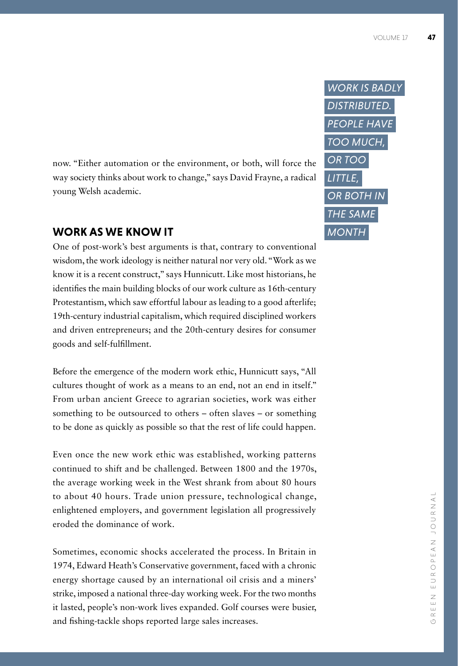now. "Either automation or the environment, or both, will force the way society thinks about work to change," says [David Frayne](https://www.theguardian.com/sustainable-business/2016/feb/24/automation-end-work-obsessed-society-dystopia-jobs), a radical young Welsh academic.

#### **WORK AS WE KNOW IT**

One of post-work's best arguments is that, contrary to conventional wisdom, the work ideology is neither natural nor very old. "Work as we know it is a recent construct," says Hunnicutt. Like most historians, he identifes the main building blocks of our work culture as 16th-century Protestantism, which saw effortful labour as leading to a good afterlife; 19th-century industrial capitalism, which required disciplined workers and driven entrepreneurs; and the 20th-century desires for consumer goods and self-fulfllment.

Before the emergence of the modern work ethic, Hunnicutt says, "All cultures thought of work as a means to an end, not an end in itself." From urban ancient Greece to agrarian societies, work was either something to be outsourced to others – often slaves – or something to be done as quickly as possible so that the rest of life could happen.

Even once the new work ethic was established, working patterns continued to shift and be challenged. Between 1800 and the 1970s, the average working week in the West shrank from about 80 hours to about 40 hours. Trade union pressure, technological change, enlightened employers, and government legislation all progressively eroded the dominance of work.

Sometimes, economic shocks accelerated the process. In Britain in 1974, Edward Heath's Conservative government, faced with a chronic energy shortage caused by an international oil crisis and a miners' strike, imposed a national three-day working week. For the two months it lasted, people's non-work lives expanded. Golf courses were busier, and fshing-tackle shops reported large sales increases.

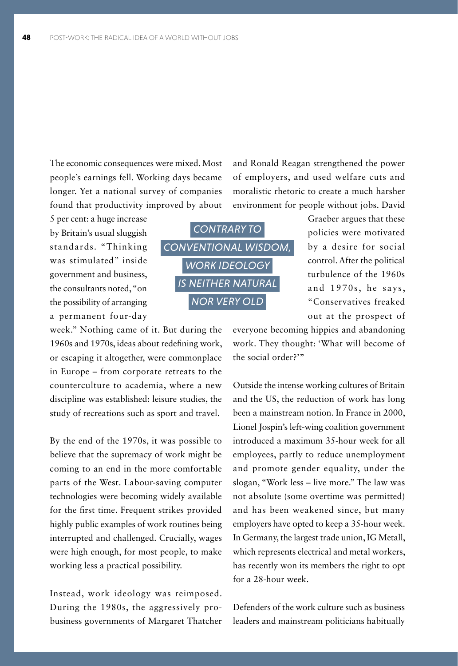The economic consequences were mixed. Most people's earnings fell. Working days became longer. Yet a national survey of companies found that productivity improved by about

5 per cent: a huge increase by Britain's usual sluggish standards. "Thinking was stimulated" inside government and business, the consultants noted, "on the possibility of arranging a permanent four-day

week." Nothing came of it. But during the 1960s and 1970s, ideas about redefning work, or escaping it altogether, were commonplace in Europe – from corporate retreats to the counterculture to academia, where a new discipline was established: leisure studies, the study of recreations such as sport and travel.

By the end of the 1970s, it was possible to believe that the supremacy of work might be coming to an end in the more comfortable parts of the West. Labour-saving computer technologies were becoming widely available for the frst time. Frequent strikes provided highly public examples of work routines being interrupted and challenged. Crucially, wages were high enough, for most people, to make working less a practical possibility.

Instead, work ideology was reimposed. During the 1980s, the aggressively probusiness governments of Margaret Thatcher and Ronald Reagan strengthened the power of employers, and used welfare cuts and moralistic rhetoric to create a much harsher environment for people without jobs. David



Graeber argues that these policies were motivated by a desire for social control. After the political turbulence of the 1960s and 1970s, he says, "Conservatives freaked out at the prospect of

everyone becoming hippies and abandoning work. They thought: 'What will become of the social order?'"

Outside the intense working cultures of Britain and the US, the reduction of work has long been a mainstream notion. In France in 2000, Lionel Jospin's left-wing coalition government introduced a maximum 35-hour week for all employees, partly to reduce unemployment and promote gender equality, under the slogan, "Work less – live more." The law was not absolute (some overtime was permitted) and has been weakened since, but many employers have opted to keep a 35-hour week. In Germany, the largest trade union, IG Metall, which represents electrical and metal workers, has recently won its members the right to opt for a 28-hour week.

Defenders of the work culture such as business leaders and mainstream politicians habitually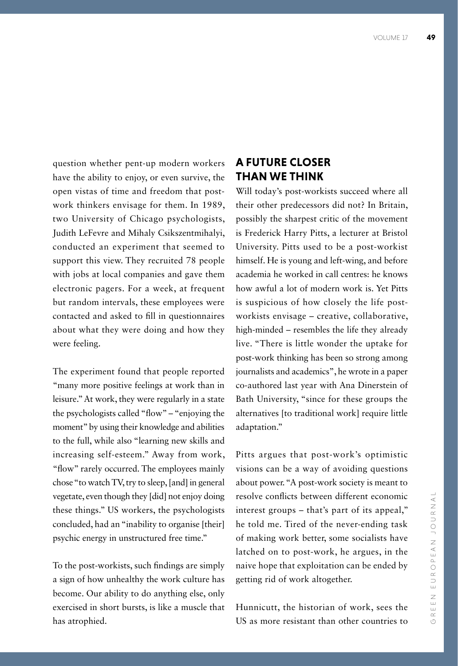question whether pent-up modern workers have the ability to enjoy, or even survive, the open vistas of time and freedom that postwork thinkers envisage for them. In 1989, two University of Chicago psychologists, Judith LeFevre and Mihaly Csikszentmihalyi, conducted an experiment that seemed to support this view. They recruited 78 people with jobs at local companies and gave them electronic pagers. For a week, at frequent but random intervals, these employees were contacted and asked to fll in questionnaires about what they were doing and how they were feeling.

The experiment found that people reported "many more positive feelings at work than in leisure." At work, they were regularly in a state the psychologists called "flow" – "enjoying the moment" by using their knowledge and abilities to the full, while also "learning new skills and increasing self-esteem." Away from work, "flow" rarely occurred. The employees mainly chose "to watch TV, try to sleep, [and] in general vegetate, even though they [did] not enjoy doing these things." US workers, the psychologists concluded, had an "inability to organise [their] psychic energy in unstructured free time."

To the post-workists, such fndings are simply a sign of how unhealthy the work culture has become. Our ability to do anything else, only exercised in short bursts, is like a muscle that has atrophied.

## **A FUTURE CLOSER THAN WE THINK**

Will today's post-workists succeed where all their other predecessors did not? In Britain, possibly the sharpest critic of the movement is Frederick Harry Pitts, a lecturer at Bristol University. Pitts used to be a post-workist himself. He is young and left-wing, and before academia he worked [in call centres](https://www.theguardian.com/careers/2017/feb/16/as-a-call-centre-worker-i-saw-how-employees-are-stripped-of-their-rights): he knows how awful a lot of modern work is. Yet Pitts is suspicious of how closely the life postworkists envisage – creative, collaborative, high-minded – resembles the life they already live. "There is little wonder the uptake for post-work thinking has been so strong among journalists and academics", he wrote in a paper co-authored last year with Ana Dinerstein of Bath University, "since for these groups the alternatives [to traditional work] require little adaptation."

Pitts argues that post-work's optimistic visions can be a way of avoiding questions about power. "A post-work society is meant to resolve conficts between different economic interest groups – that's part of its appeal," he told me. Tired of the never-ending task of making work better, some socialists have latched on to post-work, he argues, in the naive hope that exploitation can be ended by getting rid of work altogether.

Hunnicutt, the historian of work, sees the US as more resistant than other countries to